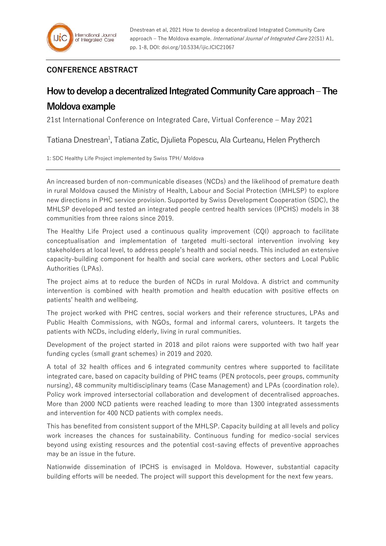## **CONFERENCE ABSTRACT**

## **How to develop a decentralized Integrated Community Care approach –The Moldova example**

21st International Conference on Integrated Care, Virtual Conference – May 2021

Tatiana Dnestrean<sup>1</sup>, Tatiana Zatic, Djulieta Popescu, Ala Curteanu, Helen Prytherch

1: SDC Healthy Life Project implemented by Swiss TPH/ Moldova

An increased burden of non-communicable diseases (NCDs) and the likelihood of premature death in rural Moldova caused the Ministry of Health, Labour and Social Protection (MHLSP) to explore new directions in PHC service provision. Supported by Swiss Development Cooperation (SDC), the MHLSP developed and tested an integrated people centred health services (IPCHS) models in 38 communities from three raions since 2019.

The Healthy Life Project used a continuous quality improvement (CQI) approach to facilitate conceptualisation and implementation of targeted multi-sectoral intervention involving key stakeholders at local level, to address people's health and social needs. This included an extensive capacity-building component for health and social care workers, other sectors and Local Public Authorities (LPAs).

The project aims at to reduce the burden of NCDs in rural Moldova. A district and community intervention is combined with health promotion and health education with positive effects on patients' health and wellbeing.

The project worked with PHC centres, social workers and their reference structures, LPAs and Public Health Commissions, with NGOs, formal and informal carers, volunteers. It targets the patients with NCDs, including elderly, living in rural communities.

Development of the project started in 2018 and pilot raions were supported with two half year funding cycles (small grant schemes) in 2019 and 2020.

A total of 32 health offices and 6 integrated community centres where supported to facilitate integrated care, based on capacity building of PHC teams (PEN protocols, peer groups, community nursing), 48 community multidisciplinary teams (Case Management) and LPAs (coordination role). Policy work improved intersectorial collaboration and development of decentralised approaches. More than 2000 NCD patients were reached leading to more than 1300 integrated assessments and intervention for 400 NCD patients with complex needs.

This has benefited from consistent support of the MHLSP. Capacity building at all levels and policy work increases the chances for sustainability. Continuous funding for medico-social services beyond using existing resources and the potential cost-saving effects of preventive approaches may be an issue in the future.

Nationwide dissemination of IPCHS is envisaged in Moldova. However, substantial capacity building efforts will be needed. The project will support this development for the next few years.